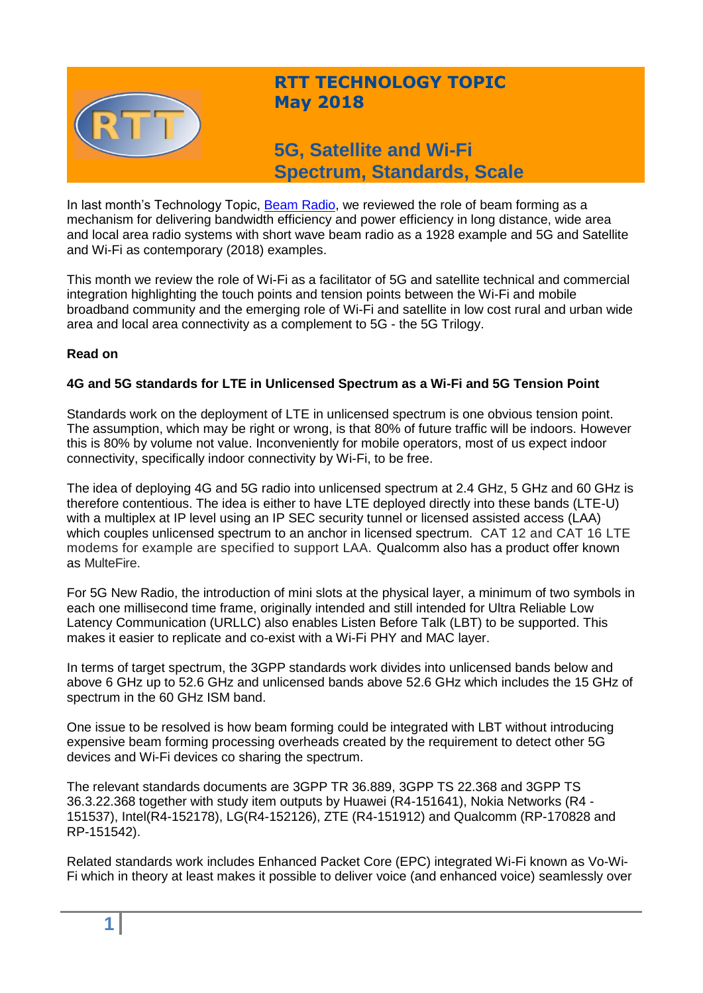

# **RTT TECHNOLOGY TOPIC May 2018**

**5G, Satellite and Wi-Fi Spectrum, Standards, Scale**

In last month's Technology Topic, [Beam Radio,](http://www.rttonline.com/tt/TT2018_004.pdf) we reviewed the role of beam forming as a mechanism for delivering bandwidth efficiency and power efficiency in long distance, wide area and local area radio systems with short wave beam radio as a 1928 example and 5G and Satellite and Wi-Fi as contemporary (2018) examples.

This month we review the role of Wi-Fi as a facilitator of 5G and satellite technical and commercial integration highlighting the touch points and tension points between the Wi-Fi and mobile broadband community and the emerging role of Wi-Fi and satellite in low cost rural and urban wide area and local area connectivity as a complement to 5G - the 5G Trilogy.

#### **Read on**

#### **4G and 5G standards for LTE in Unlicensed Spectrum as a Wi-Fi and 5G Tension Point**

Standards work on the deployment of LTE in unlicensed spectrum is one obvious tension point. The assumption, which may be right or wrong, is that 80% of future traffic will be indoors. However this is 80% by volume not value. Inconveniently for mobile operators, most of us expect indoor connectivity, specifically indoor connectivity by Wi-Fi, to be free.

The idea of deploying 4G and 5G radio into unlicensed spectrum at 2.4 GHz, 5 GHz and 60 GHz is therefore contentious. The idea is either to have LTE deployed directly into these bands (LTE-U) with a multiplex at IP level using an IP SEC security tunnel or licensed assisted access (LAA) which couples unlicensed spectrum to an anchor in licensed spectrum. CAT 12 and CAT 16 LTE modems for example are specified to support LAA. Qualcomm also has a product offer known as MulteFire.

For 5G New Radio, the introduction of mini slots at the physical layer, a minimum of two symbols in each one millisecond time frame, originally intended and still intended for Ultra Reliable Low Latency Communication (URLLC) also enables Listen Before Talk (LBT) to be supported. This makes it easier to replicate and co-exist with a Wi-Fi PHY and MAC layer.

In terms of target spectrum, the 3GPP standards work divides into unlicensed bands below and above 6 GHz up to 52.6 GHz and unlicensed bands above 52.6 GHz which includes the 15 GHz of spectrum in the 60 GHz ISM band.

One issue to be resolved is how beam forming could be integrated with LBT without introducing expensive beam forming processing overheads created by the requirement to detect other 5G devices and Wi-Fi devices co sharing the spectrum.

The relevant standards documents are 3GPP TR 36.889, 3GPP TS 22.368 and 3GPP TS 36.3.22.368 together with study item outputs by Huawei (R4-151641), Nokia Networks (R4 - 151537), Intel(R4-152178), LG(R4-152126), ZTE (R4-151912) and Qualcomm (RP-170828 and RP-151542).

Related standards work includes Enhanced Packet Core (EPC) integrated Wi-Fi known as Vo-Wi-Fi which in theory at least makes it possible to deliver voice (and enhanced voice) seamlessly over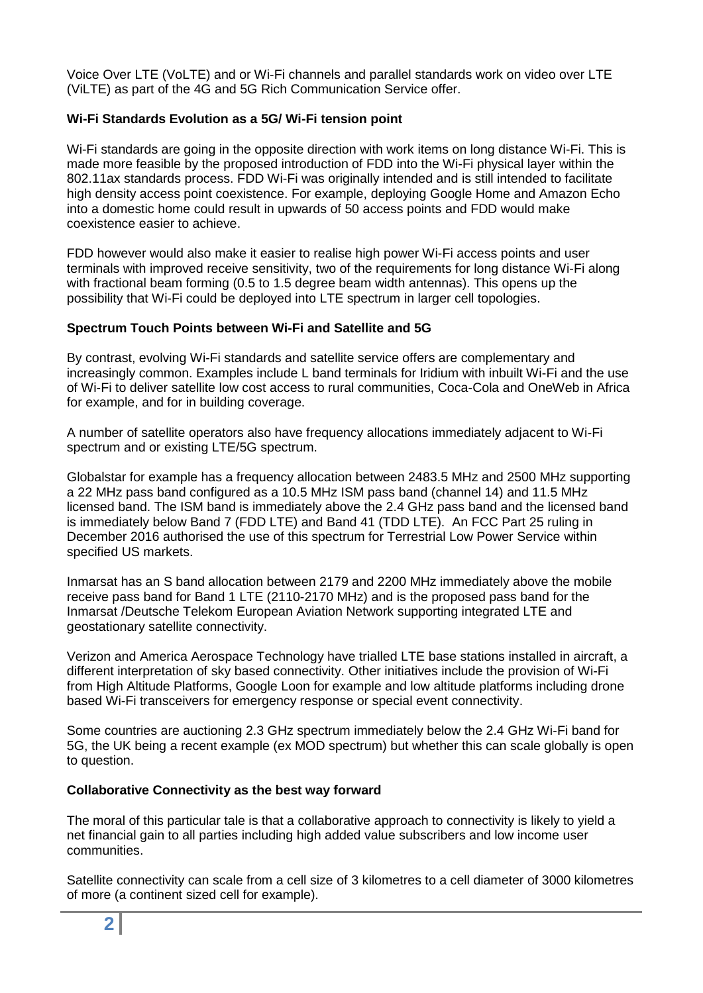Voice Over LTE (VoLTE) and or Wi-Fi channels and parallel standards work on video over LTE (ViLTE) as part of the 4G and 5G Rich Communication Service offer.

#### **Wi-Fi Standards Evolution as a 5G/ Wi-Fi tension point**

Wi-Fi standards are going in the opposite direction with work items on long distance Wi-Fi. This is made more feasible by the proposed introduction of FDD into the Wi-Fi physical layer within the 802.11ax standards process. FDD Wi-Fi was originally intended and is still intended to facilitate high density access point coexistence. For example, deploying Google Home and Amazon Echo into a domestic home could result in upwards of 50 access points and FDD would make coexistence easier to achieve.

FDD however would also make it easier to realise high power Wi-Fi access points and user terminals with improved receive sensitivity, two of the requirements for long distance Wi-Fi along with fractional beam forming (0.5 to 1.5 degree beam width antennas). This opens up the possibility that Wi-Fi could be deployed into LTE spectrum in larger cell topologies.

#### **Spectrum Touch Points between Wi-Fi and Satellite and 5G**

By contrast, evolving Wi-Fi standards and satellite service offers are complementary and increasingly common. Examples include L band terminals for Iridium with inbuilt Wi-Fi and the use of Wi-Fi to deliver satellite low cost access to rural communities, Coca-Cola and OneWeb in Africa for example, and for in building coverage.

A number of satellite operators also have frequency allocations immediately adjacent to Wi-Fi spectrum and or existing LTE/5G spectrum.

Globalstar for example has a frequency allocation between 2483.5 MHz and 2500 MHz supporting a 22 MHz pass band configured as a 10.5 MHz ISM pass band (channel 14) and 11.5 MHz licensed band. The ISM band is immediately above the 2.4 GHz pass band and the licensed band is immediately below Band 7 (FDD LTE) and Band 41 (TDD LTE). An FCC Part 25 ruling in December 2016 authorised the use of this spectrum for Terrestrial Low Power Service within specified US markets.

Inmarsat has an S band allocation between 2179 and 2200 MHz immediately above the mobile receive pass band for Band 1 LTE (2110-2170 MHz) and is the proposed pass band for the Inmarsat /Deutsche Telekom European Aviation Network supporting integrated LTE and geostationary satellite connectivity.

Verizon and America Aerospace Technology have trialled LTE base stations installed in aircraft, a different interpretation of sky based connectivity. Other initiatives include the provision of Wi-Fi from High Altitude Platforms, Google Loon for example and low altitude platforms including drone based Wi-Fi transceivers for emergency response or special event connectivity.

Some countries are auctioning 2.3 GHz spectrum immediately below the 2.4 GHz Wi-Fi band for 5G, the UK being a recent example (ex MOD spectrum) but whether this can scale globally is open to question.

#### **Collaborative Connectivity as the best way forward**

The moral of this particular tale is that a collaborative approach to connectivity is likely to yield a net financial gain to all parties including high added value subscribers and low income user communities.

Satellite connectivity can scale from a cell size of 3 kilometres to a cell diameter of 3000 kilometres of more (a continent sized cell for example).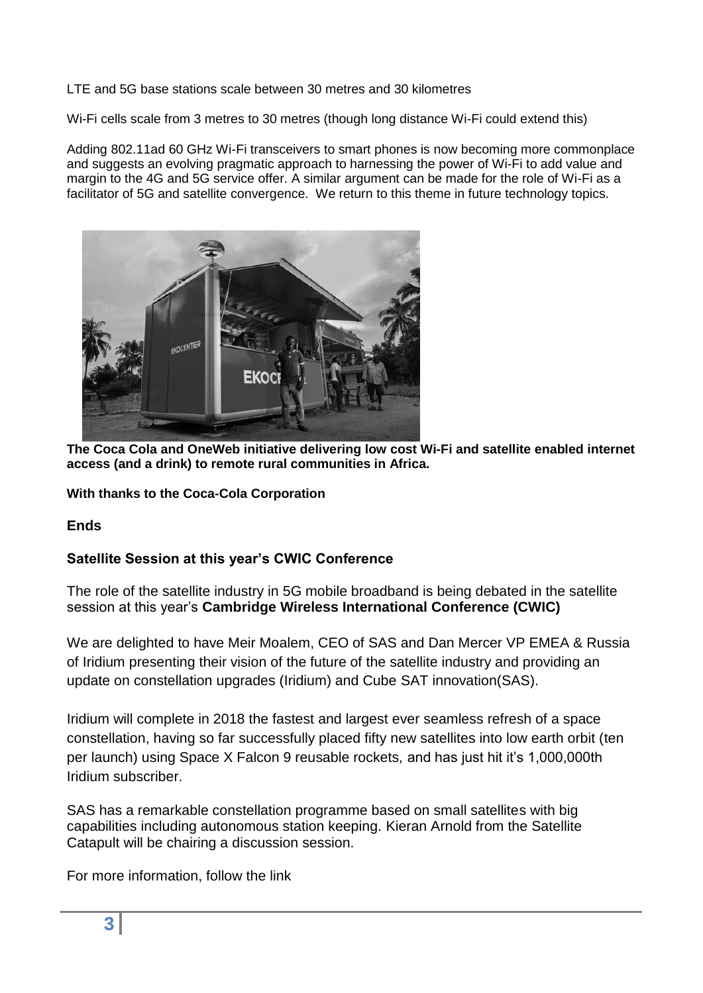LTE and 5G base stations scale between 30 metres and 30 kilometres

Wi-Fi cells scale from 3 metres to 30 metres (though long distance Wi-Fi could extend this)

Adding 802.11ad 60 GHz Wi-Fi transceivers to smart phones is now becoming more commonplace and suggests an evolving pragmatic approach to harnessing the power of Wi-Fi to add value and margin to the 4G and 5G service offer. A similar argument can be made for the role of Wi-Fi as a facilitator of 5G and satellite convergence. We return to this theme in future technology topics.



**The Coca Cola and OneWeb initiative delivering low cost Wi-Fi and satellite enabled internet access (and a drink) to remote rural communities in Africa.**

**With thanks to the Coca-Cola Corporation**

**Ends**

# **Satellite Session at this year's CWIC Conference**

The role of the satellite industry in 5G mobile broadband is being debated in the satellite session at this year's **Cambridge Wireless International Conference (CWIC)**

We are delighted to have Meir Moalem, CEO of SAS and Dan Mercer VP EMEA & Russia of Iridium presenting their vision of the future of the satellite industry and providing an update on constellation upgrades (Iridium) and Cube SAT innovation(SAS).

Iridium will complete in 2018 the fastest and largest ever seamless refresh of a space constellation, having so far successfully placed fifty new satellites into low earth orbit (ten per launch) using Space X Falcon 9 reusable rockets*,* and has just hit it's 1,000,000th Iridium subscriber.

SAS has a remarkable constellation programme based on small satellites with big capabilities including autonomous station keeping. Kieran Arnold from the Satellite Catapult will be chairing a discussion session.

For more information, follow the link